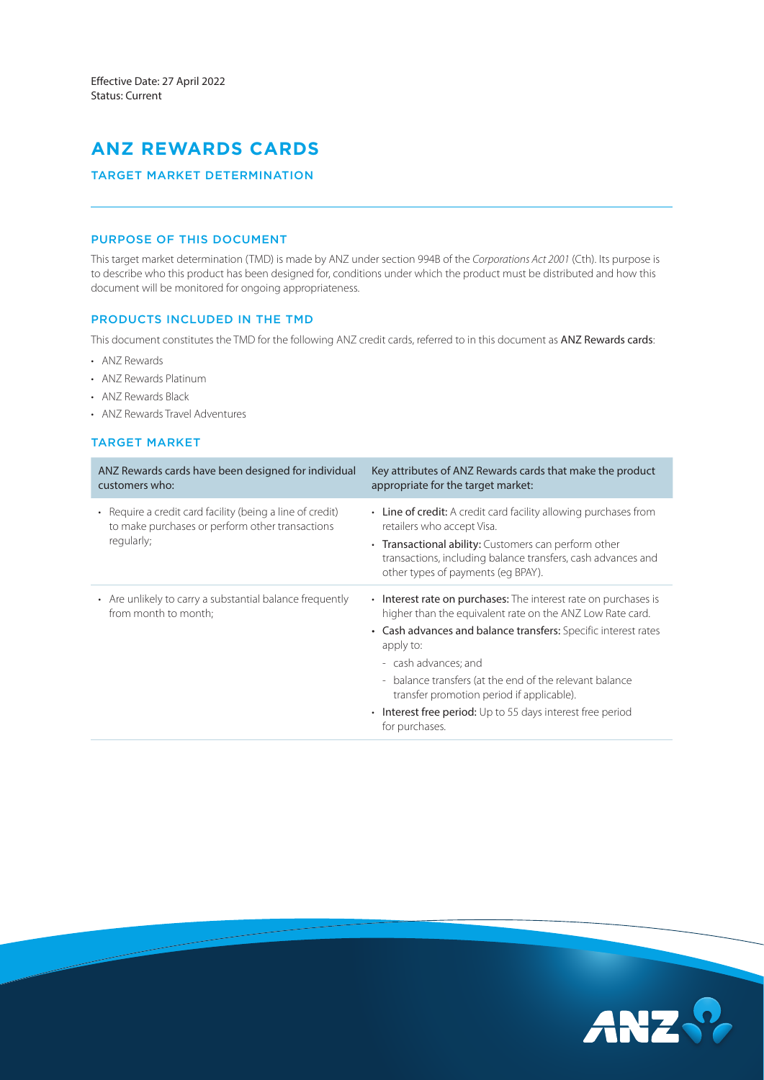# **ANZ REWARDS CARDS**

# TARGET MARKET DETERMINATION

## PURPOSE OF THIS DOCUMENT

This target market determination (TMD) is made by ANZ under section 994B of the *Corporations Act 2001* (Cth). Its purpose is to describe who this product has been designed for, conditions under which the product must be distributed and how this document will be monitored for ongoing appropriateness.

#### PRODUCTS INCLUDED IN THE TMD

This document constitutes the TMD for the following ANZ credit cards, referred to in this document as ANZ Rewards cards:

- ANZ Rewards
- ANZ Rewards Platinum
- ANZ Rewards Black
- ANZ Rewards Travel Adventures

### TARGET MARKET

| ANZ Rewards cards have been designed for individual<br>customers who:                                                                 | Key attributes of ANZ Rewards cards that make the product<br>appropriate for the target market:                                                            |
|---------------------------------------------------------------------------------------------------------------------------------------|------------------------------------------------------------------------------------------------------------------------------------------------------------|
| Require a credit card facility (being a line of credit)<br>$\bullet$<br>to make purchases or perform other transactions<br>regularly; | • Line of credit: A credit card facility allowing purchases from<br>retailers who accept Visa.                                                             |
|                                                                                                                                       | • Transactional ability: Customers can perform other<br>transactions, including balance transfers, cash advances and<br>other types of payments (eq BPAY). |
| • Are unlikely to carry a substantial balance frequently<br>from month to month;                                                      | • Interest rate on purchases: The interest rate on purchases is<br>higher than the equivalent rate on the ANZ Low Rate card.                               |
|                                                                                                                                       | • Cash advances and balance transfers: Specific interest rates<br>apply to:                                                                                |
|                                                                                                                                       | - cash advances; and                                                                                                                                       |
|                                                                                                                                       | - balance transfers (at the end of the relevant balance<br>transfer promotion period if applicable).                                                       |
|                                                                                                                                       | Interest free period: Up to 55 days interest free period<br>$\bullet$<br>for purchases.                                                                    |

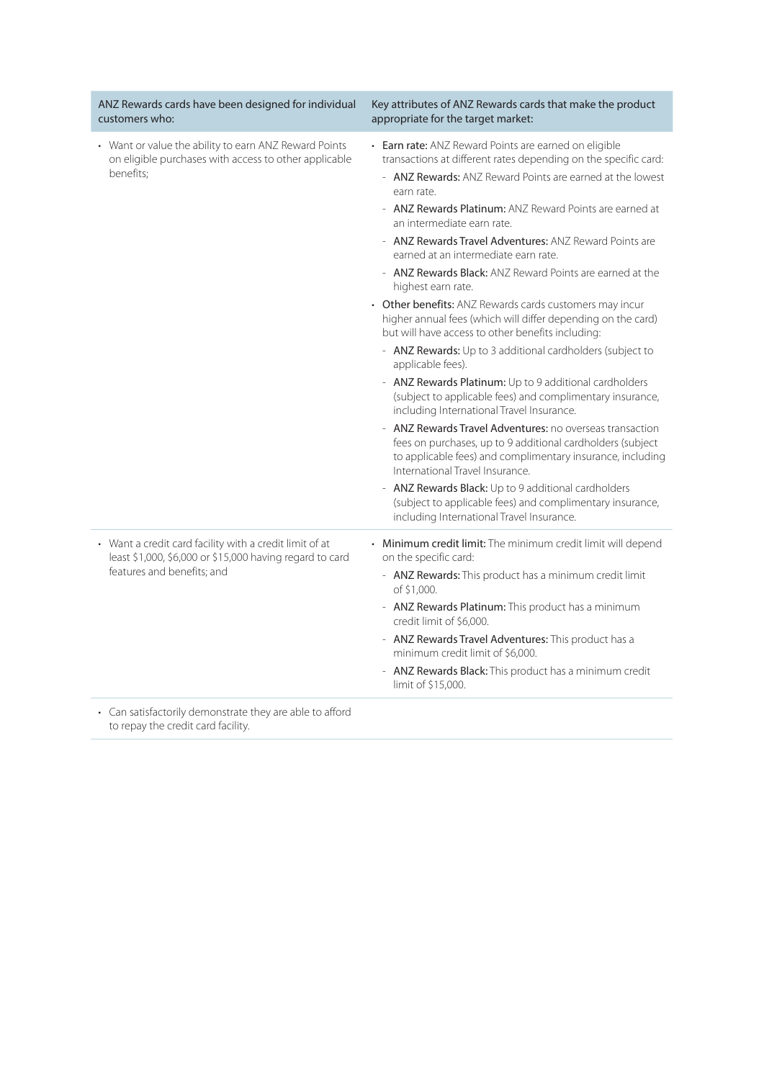| ANZ Rewards cards have been designed for individual<br>customers who:                                                                             | Key attributes of ANZ Rewards cards that make the product<br>appropriate for the target market:                                                                                                                                                                                                                                                                                                                                                                                                                                                                                                                                                                                                                                                                                                                                                                                                                                                                                                                                                                                                                                                                                                                                                                                                                           |
|---------------------------------------------------------------------------------------------------------------------------------------------------|---------------------------------------------------------------------------------------------------------------------------------------------------------------------------------------------------------------------------------------------------------------------------------------------------------------------------------------------------------------------------------------------------------------------------------------------------------------------------------------------------------------------------------------------------------------------------------------------------------------------------------------------------------------------------------------------------------------------------------------------------------------------------------------------------------------------------------------------------------------------------------------------------------------------------------------------------------------------------------------------------------------------------------------------------------------------------------------------------------------------------------------------------------------------------------------------------------------------------------------------------------------------------------------------------------------------------|
| • Want or value the ability to earn ANZ Reward Points<br>on eligible purchases with access to other applicable<br>benefits:                       | • Earn rate: ANZ Reward Points are earned on eligible<br>transactions at different rates depending on the specific card:<br>- <b>ANZ Rewards:</b> ANZ Reward Points are earned at the lowest<br>earn rate.<br>- ANZ Rewards Platinum: ANZ Reward Points are earned at<br>an intermediate earn rate.<br>- ANZ Rewards Travel Adventures: ANZ Reward Points are<br>earned at an intermediate earn rate.<br>- ANZ Rewards Black: ANZ Reward Points are earned at the<br>highest earn rate.<br>• Other benefits: ANZ Rewards cards customers may incur<br>higher annual fees (which will differ depending on the card)<br>but will have access to other benefits including:<br>- ANZ Rewards: Up to 3 additional cardholders (subject to<br>applicable fees).<br>- ANZ Rewards Platinum: Up to 9 additional cardholders<br>(subject to applicable fees) and complimentary insurance,<br>including International Travel Insurance.<br>- ANZ Rewards Travel Adventures: no overseas transaction<br>fees on purchases, up to 9 additional cardholders (subject<br>to applicable fees) and complimentary insurance, including<br>International Travel Insurance.<br>- ANZ Rewards Black: Up to 9 additional cardholders<br>(subject to applicable fees) and complimentary insurance,<br>including International Travel Insurance. |
| • Want a credit card facility with a credit limit of at<br>least \$1,000, \$6,000 or \$15,000 having regard to card<br>features and benefits; and | • Minimum credit limit: The minimum credit limit will depend<br>on the specific card:<br>- ANZ Rewards: This product has a minimum credit limit<br>of \$1,000.<br>- ANZ Rewards Platinum: This product has a minimum<br>credit limit of \$6,000.<br>- ANZ Rewards Travel Adventures: This product has a<br>minimum credit limit of \$6,000.<br>- ANZ Rewards Black: This product has a minimum credit<br>limit of \$15,000.                                                                                                                                                                                                                                                                                                                                                                                                                                                                                                                                                                                                                                                                                                                                                                                                                                                                                               |
| • Can satisfactorily demonstrate they are able to afford                                                                                          |                                                                                                                                                                                                                                                                                                                                                                                                                                                                                                                                                                                                                                                                                                                                                                                                                                                                                                                                                                                                                                                                                                                                                                                                                                                                                                                           |

to repay the credit card facility.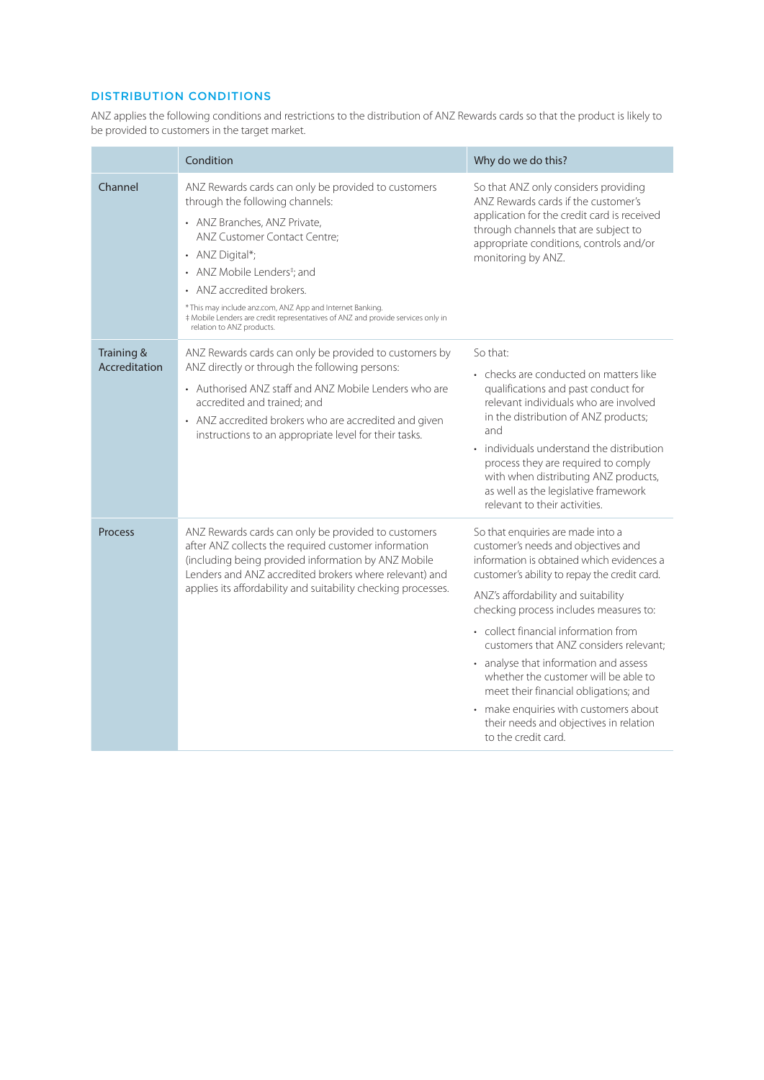# DISTRIBUTION CONDITIONS

ANZ applies the following conditions and restrictions to the distribution of ANZ Rewards cards so that the product is likely to be provided to customers in the target market.

|                             | Condition                                                                                                                                                                                                                                                                                                                                                                                                                      | Why do we do this?                                                                                                                                                                                                                                                                                                                                                                                                                                                                                                                                                           |  |
|-----------------------------|--------------------------------------------------------------------------------------------------------------------------------------------------------------------------------------------------------------------------------------------------------------------------------------------------------------------------------------------------------------------------------------------------------------------------------|------------------------------------------------------------------------------------------------------------------------------------------------------------------------------------------------------------------------------------------------------------------------------------------------------------------------------------------------------------------------------------------------------------------------------------------------------------------------------------------------------------------------------------------------------------------------------|--|
| Channel                     | ANZ Rewards cards can only be provided to customers<br>through the following channels:<br>• ANZ Branches, ANZ Private,<br>ANZ Customer Contact Centre;<br>• ANZ Digital*;<br>• ANZ Mobile Lenders <sup>‡</sup> ; and<br>• ANZ accredited brokers.<br>* This may include anz.com, ANZ App and Internet Banking.<br># Mobile Lenders are credit representatives of ANZ and provide services only in<br>relation to ANZ products. | So that ANZ only considers providing<br>ANZ Rewards cards if the customer's<br>application for the credit card is received<br>through channels that are subject to<br>appropriate conditions, controls and/or<br>monitoring by ANZ.                                                                                                                                                                                                                                                                                                                                          |  |
| Training &<br>Accreditation | ANZ Rewards cards can only be provided to customers by<br>ANZ directly or through the following persons:<br>• Authorised ANZ staff and ANZ Mobile Lenders who are<br>accredited and trained; and<br>• ANZ accredited brokers who are accredited and given<br>instructions to an appropriate level for their tasks.                                                                                                             | So that:<br>• checks are conducted on matters like<br>qualifications and past conduct for<br>relevant individuals who are involved<br>in the distribution of ANZ products;<br>and<br>• individuals understand the distribution<br>process they are required to comply<br>with when distributing ANZ products,<br>as well as the legislative framework<br>relevant to their activities.                                                                                                                                                                                       |  |
| <b>Process</b>              | ANZ Rewards cards can only be provided to customers<br>after ANZ collects the required customer information<br>(including being provided information by ANZ Mobile<br>Lenders and ANZ accredited brokers where relevant) and<br>applies its affordability and suitability checking processes.                                                                                                                                  | So that enquiries are made into a<br>customer's needs and objectives and<br>information is obtained which evidences a<br>customer's ability to repay the credit card.<br>ANZ's affordability and suitability<br>checking process includes measures to:<br>• collect financial information from<br>customers that ANZ considers relevant:<br>• analyse that information and assess<br>whether the customer will be able to<br>meet their financial obligations; and<br>• make enquiries with customers about<br>their needs and objectives in relation<br>to the credit card. |  |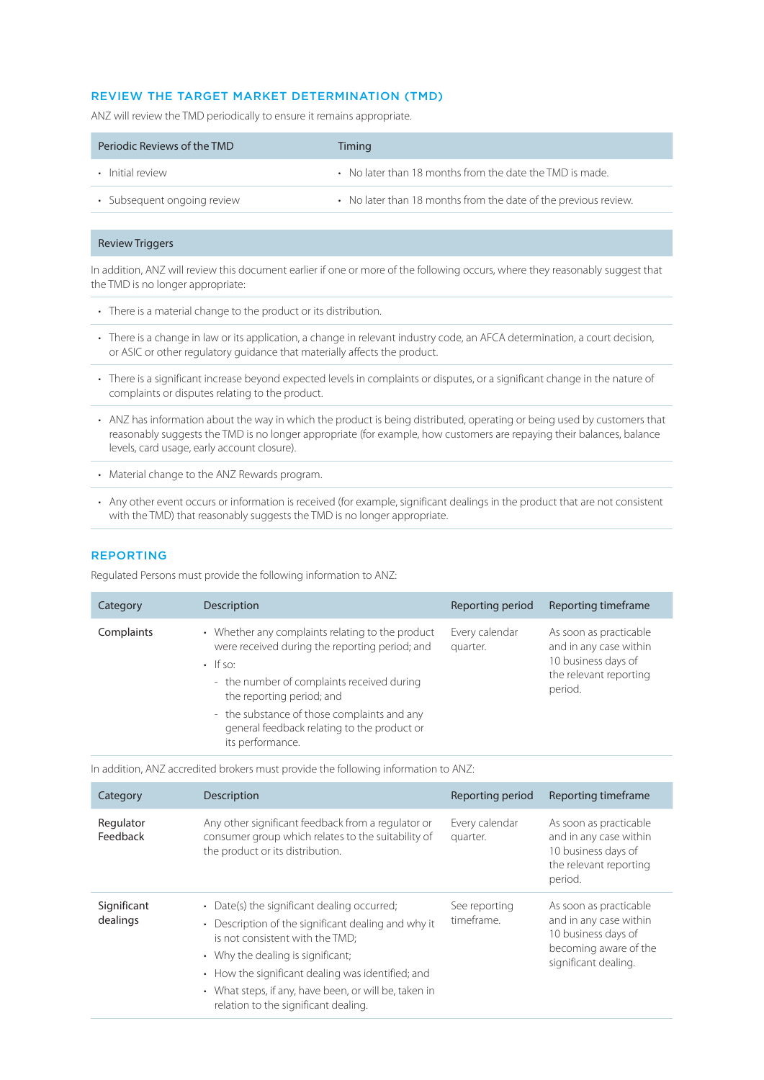# REVIEW THE TARGET MARKET DETERMINATION (TMD)

ANZ will review the TMD periodically to ensure it remains appropriate.

| Periodic Reviews of the TMD | Timing                                                          |
|-----------------------------|-----------------------------------------------------------------|
| • Initial review            | • No later than 18 months from the date the TMD is made.        |
| · Subsequent ongoing review | • No later than 18 months from the date of the previous review. |

### Review Triggers

In addition, ANZ will review this document earlier if one or more of the following occurs, where they reasonably suggest that the TMD is no longer appropriate:

- There is a material change to the product or its distribution.
- There is a change in law or its application, a change in relevant industry code, an AFCA determination, a court decision, or ASIC or other regulatory guidance that materially affects the product.
- There is a significant increase beyond expected levels in complaints or disputes, or a significant change in the nature of complaints or disputes relating to the product.
- ANZ has information about the way in which the product is being distributed, operating or being used by customers that reasonably suggests the TMD is no longer appropriate (for example, how customers are repaying their balances, balance levels, card usage, early account closure).
- Material change to the ANZ Rewards program.
- Any other event occurs or information is received (for example, significant dealings in the product that are not consistent with the TMD) that reasonably suggests the TMD is no longer appropriate.

# REPORTING

Regulated Persons must provide the following information to ANZ:

| Category   | Description                                                                                                                                                                                                                                                                                                       | Reporting period           | Reporting timeframe                                                                                          |
|------------|-------------------------------------------------------------------------------------------------------------------------------------------------------------------------------------------------------------------------------------------------------------------------------------------------------------------|----------------------------|--------------------------------------------------------------------------------------------------------------|
| Complaints | • Whether any complaints relating to the product<br>were received during the reporting period; and<br>$\cdot$ If so:<br>- the number of complaints received during<br>the reporting period; and<br>- the substance of those complaints and any<br>general feedback relating to the product or<br>its performance. | Every calendar<br>quarter. | As soon as practicable<br>and in any case within<br>10 business days of<br>the relevant reporting<br>period. |

In addition, ANZ accredited brokers must provide the following information to ANZ:

| Category                | Description                                                                                                                                                                                                                                                                                                                                 | Reporting period            | Reporting timeframe                                                                                                      |
|-------------------------|---------------------------------------------------------------------------------------------------------------------------------------------------------------------------------------------------------------------------------------------------------------------------------------------------------------------------------------------|-----------------------------|--------------------------------------------------------------------------------------------------------------------------|
| Regulator<br>Feedback   | Any other significant feedback from a regulator or<br>consumer group which relates to the suitability of<br>the product or its distribution.                                                                                                                                                                                                | Every calendar<br>quarter.  | As soon as practicable<br>and in any case within<br>10 business days of<br>the relevant reporting<br>period.             |
| Significant<br>dealings | • Date(s) the significant dealing occurred;<br>Description of the significant dealing and why it<br>$\bullet$<br>is not consistent with the TMD;<br>• Why the dealing is significant;<br>• How the significant dealing was identified; and<br>• What steps, if any, have been, or will be, taken in<br>relation to the significant dealing. | See reporting<br>timeframe. | As soon as practicable<br>and in any case within<br>10 business days of<br>becoming aware of the<br>significant dealing. |